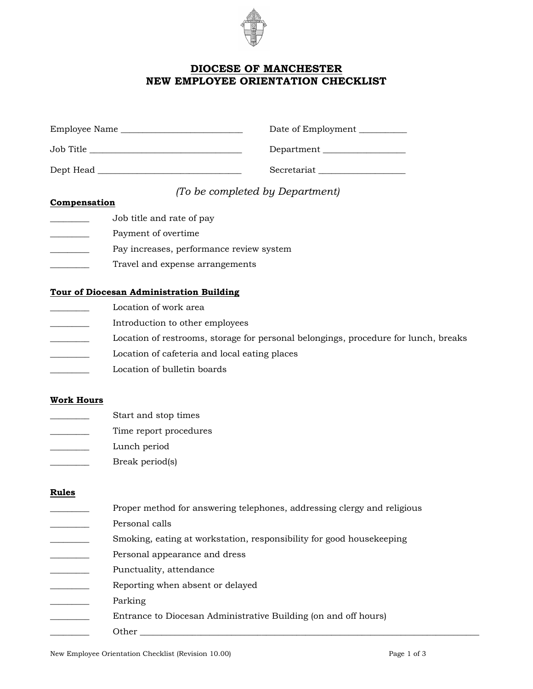

# **DIOCESE OF MANCHESTER NEW EMPLOYEE ORIENTATION CHECKLIST**

| Employee Name | Date of Employment |
|---------------|--------------------|
| Job Title     | Department __      |
| Dept Head     | Secretariat        |

# *(To be completed by Department)*

### **Compensation**

- \_\_\_\_\_\_\_\_\_ Job title and rate of pay
- \_\_\_\_\_\_\_\_\_ Payment of overtime
- Pay increases, performance review system
- Travel and expense arrangements

## **Tour of Diocesan Administration Building**

- Location of work area
- \_\_\_\_\_\_\_\_\_ Introduction to other employees
- Location of restrooms, storage for personal belongings, procedure for lunch, breaks
- Location of cafeteria and local eating places
- Location of bulletin boards

## **Work Hours**

- Start and stop times
- Time report procedures
- \_\_\_\_\_\_\_\_\_ Lunch period
- Break period(s)

## **Rules**

- Proper method for answering telephones, addressing clergy and religious
- Personal calls
- Smoking, eating at workstation, responsibility for good housekeeping
- Personal appearance and dress
- Punctuality, attendance
- \_\_\_\_\_\_\_\_\_ Reporting when absent or delayed
- Parking
	- Entrance to Diocesan Administrative Building (on and off hours)

\_\_\_\_\_\_\_\_\_ Other \_\_\_\_\_\_\_\_\_\_\_\_\_\_\_\_\_\_\_\_\_\_\_\_\_\_\_\_\_\_\_\_\_\_\_\_\_\_\_\_\_\_\_\_\_\_\_\_\_\_\_\_\_\_\_\_\_\_\_\_\_\_\_\_\_\_\_\_\_\_\_\_\_\_\_\_\_\_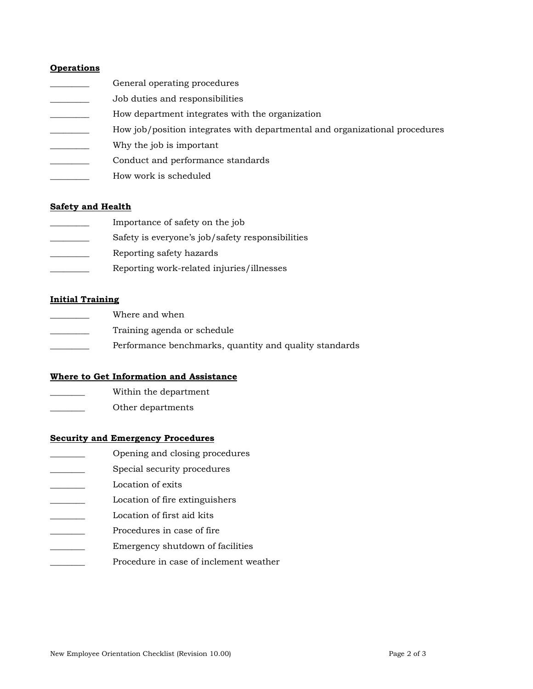### **Operations**

- General operating procedures
- \_\_\_\_\_\_\_\_\_ Job duties and responsibilities
- \_\_\_\_\_\_\_\_\_ How department integrates with the organization
- How job/position integrates with departmental and organizational procedures
- Why the job is important
- \_\_\_\_\_\_\_\_\_ Conduct and performance standards
- How work is scheduled

#### **Safety and Health**

- \_\_\_\_\_\_\_\_\_ Importance of safety on the job
- Safety is everyone's job/safety responsibilities
- \_\_\_\_\_\_\_\_\_ Reporting safety hazards
- \_\_\_\_\_\_\_\_\_ Reporting work-related injuries/illnesses

### **Initial Training**

- Where and when
- Training agenda or schedule
- Performance benchmarks, quantity and quality standards

#### **Where to Get Information and Assistance**

- \_\_\_\_\_\_\_\_ Within the department
- \_\_\_\_\_\_\_\_ Other departments

### **Security and Emergency Procedures**

- \_\_\_\_\_\_\_\_ Opening and closing procedures
- Special security procedures

Location of exits

- \_\_\_\_\_\_\_\_ Location of fire extinguishers
- Location of first aid kits
- Procedures in case of fire
- \_\_\_\_\_\_\_\_ Emergency shutdown of facilities
- Procedure in case of inclement weather